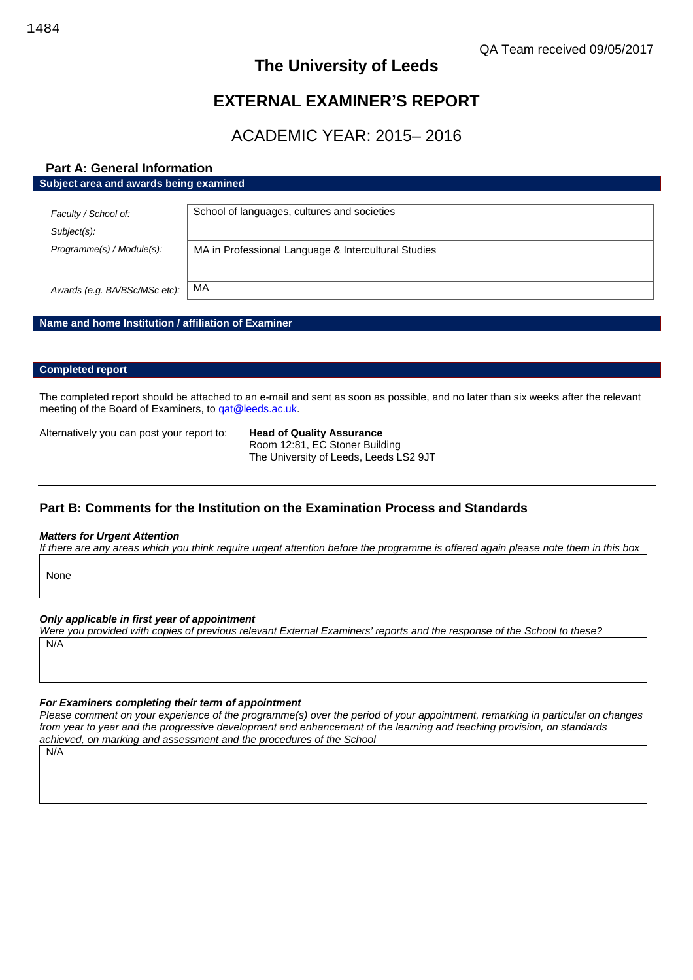# **The University of Leeds**

# **EXTERNAL EXAMINER'S REPORT**

# ACADEMIC YEAR: 2015– 2016

# **Part A: General Information**

#### **Subject area and awards being examined**

| Faculty / School of:          | School of languages, cultures and societies         |
|-------------------------------|-----------------------------------------------------|
| Subject(s):                   |                                                     |
| Programme(s) / Module(s):     | MA in Professional Language & Intercultural Studies |
| Awards (e.g. BA/BSc/MSc etc): | МA                                                  |

## **Name and home Institution / affiliation of Examiner**

## **Completed report**

The completed report should be attached to an e-mail and sent as soon as possible, and no later than six weeks after the relevant meeting of the Board of Examiners, to gat@leeds.ac.uk.

Alternatively you can post your report to: **Head of Quality Assurance**

Room 12:81, EC Stoner Building The University of Leeds, Leeds LS2 9JT

# **Part B: Comments for the Institution on the Examination Process and Standards**

#### *Matters for Urgent Attention*

*If there are any areas which you think require urgent attention before the programme is offered again please note them in this box*

None

#### *Only applicable in first year of appointment*

*Were you provided with copies of previous relevant External Examiners' reports and the response of the School to these?* N/A

## *For Examiners completing their term of appointment*

*Please comment on your experience of the programme(s) over the period of your appointment, remarking in particular on changes from year to year and the progressive development and enhancement of the learning and teaching provision, on standards achieved, on marking and assessment and the procedures of the School*

N/A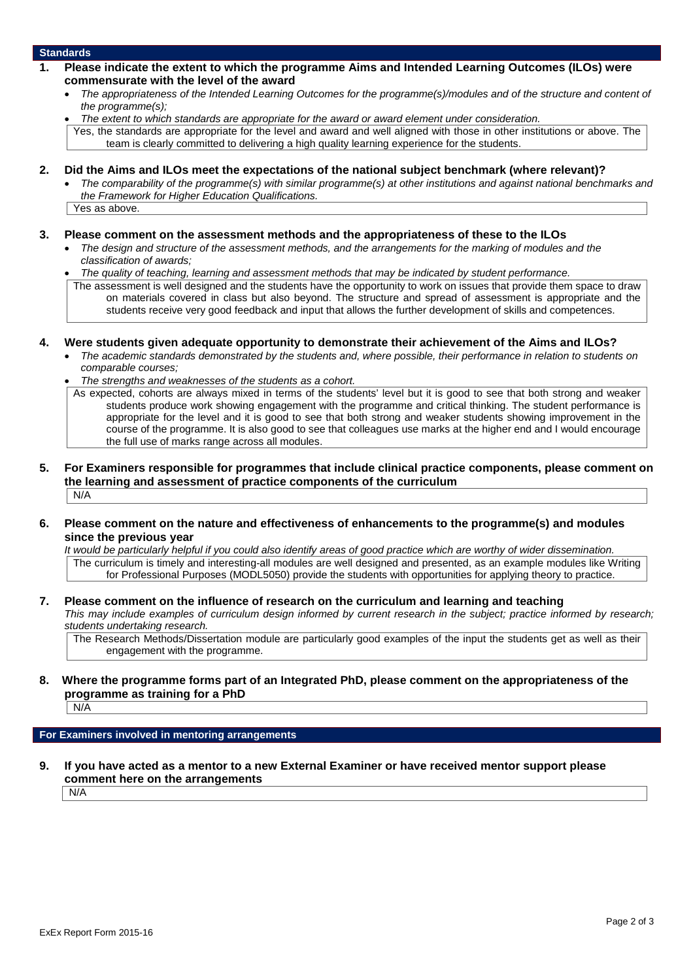### **Standards**

- **1. Please indicate the extent to which the programme Aims and Intended Learning Outcomes (ILOs) were commensurate with the level of the award**
	- *The appropriateness of the Intended Learning Outcomes for the programme(s)/modules and of the structure and content of the programme(s);*
	- *The extent to which standards are appropriate for the award or award element under consideration.*

Yes, the standards are appropriate for the level and award and well aligned with those in other institutions or above. The team is clearly committed to delivering a high quality learning experience for the students.

- **2. Did the Aims and ILOs meet the expectations of the national subject benchmark (where relevant)?**
	- *The comparability of the programme(s) with similar programme(s) at other institutions and against national benchmarks and the Framework for Higher Education Qualifications.* Yes as above.

#### **3. Please comment on the assessment methods and the appropriateness of these to the ILOs**

- *The design and structure of the assessment methods, and the arrangements for the marking of modules and the classification of awards;*
- *The quality of teaching, learning and assessment methods that may be indicated by student performance.*
- The assessment is well designed and the students have the opportunity to work on issues that provide them space to draw on materials covered in class but also beyond. The structure and spread of assessment is appropriate and the students receive very good feedback and input that allows the further development of skills and competences.
- **4. Were students given adequate opportunity to demonstrate their achievement of the Aims and ILOs?**
	- *The academic standards demonstrated by the students and, where possible, their performance in relation to students on comparable courses;*
	- *The strengths and weaknesses of the students as a cohort.*
	- As expected, cohorts are always mixed in terms of the students' level but it is good to see that both strong and weaker students produce work showing engagement with the programme and critical thinking. The student performance is appropriate for the level and it is good to see that both strong and weaker students showing improvement in the course of the programme. It is also good to see that colleagues use marks at the higher end and I would encourage the full use of marks range across all modules.
- **5. For Examiners responsible for programmes that include clinical practice components, please comment on the learning and assessment of practice components of the curriculum**  $N/A$

## **6. Please comment on the nature and effectiveness of enhancements to the programme(s) and modules since the previous year**

*It would be particularly helpful if you could also identify areas of good practice which are worthy of wider dissemination.* The curriculum is timely and interesting-all modules are well designed and presented, as an example modules like Writing for Professional Purposes (MODL5050) provide the students with opportunities for applying theory to practice.

#### **7. Please comment on the influence of research on the curriculum and learning and teaching** *This may include examples of curriculum design informed by current research in the subject; practice informed by research; students undertaking research.*

The Research Methods/Dissertation module are particularly good examples of the input the students get as well as their engagement with the programme.

## **8. Where the programme forms part of an Integrated PhD, please comment on the appropriateness of the programme as training for a PhD**

N/A

#### **For Examiners involved in mentoring arrangements**

**9. If you have acted as a mentor to a new External Examiner or have received mentor support please comment here on the arrangements**

N/A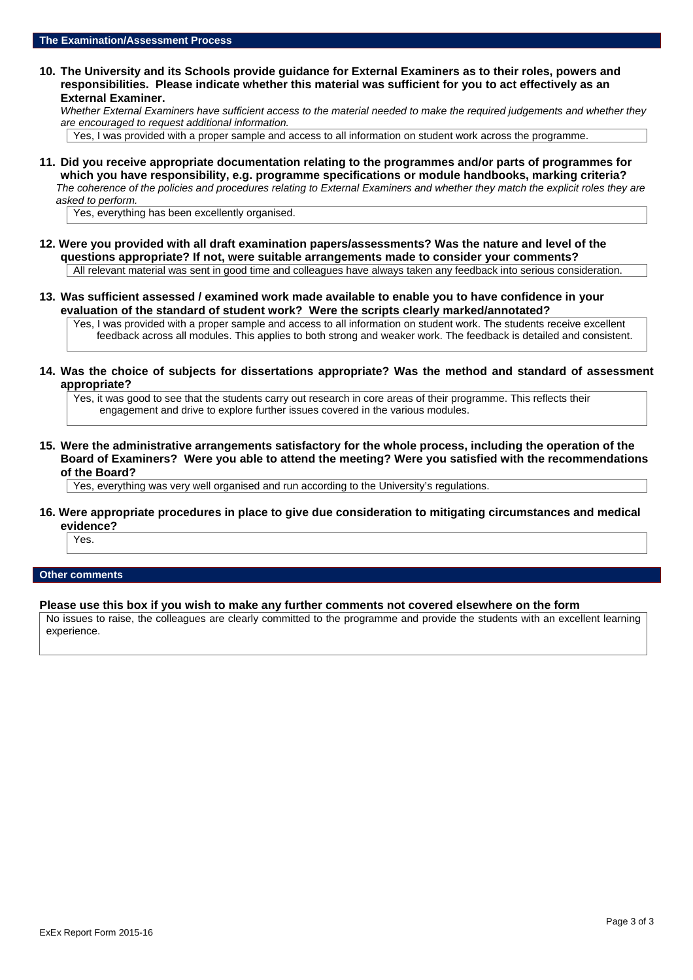**10. The University and its Schools provide guidance for External Examiners as to their roles, powers and responsibilities. Please indicate whether this material was sufficient for you to act effectively as an External Examiner.**

*Whether External Examiners have sufficient access to the material needed to make the required judgements and whether they are encouraged to request additional information.*

Yes, I was provided with a proper sample and access to all information on student work across the programme.

**11. Did you receive appropriate documentation relating to the programmes and/or parts of programmes for which you have responsibility, e.g. programme specifications or module handbooks, marking criteria?** *The coherence of the policies and procedures relating to External Examiners and whether they match the explicit roles they are asked to perform.*

Yes, everything has been excellently organised.

- **12. Were you provided with all draft examination papers/assessments? Was the nature and level of the questions appropriate? If not, were suitable arrangements made to consider your comments?** All relevant material was sent in good time and colleagues have always taken any feedback into serious consideration.
- **13. Was sufficient assessed / examined work made available to enable you to have confidence in your evaluation of the standard of student work? Were the scripts clearly marked/annotated?**

Yes, I was provided with a proper sample and access to all information on student work. The students receive excellent feedback across all modules. This applies to both strong and weaker work. The feedback is detailed and consistent.

**14. Was the choice of subjects for dissertations appropriate? Was the method and standard of assessment appropriate?**

Yes, it was good to see that the students carry out research in core areas of their programme. This reflects their engagement and drive to explore further issues covered in the various modules.

**15. Were the administrative arrangements satisfactory for the whole process, including the operation of the Board of Examiners? Were you able to attend the meeting? Were you satisfied with the recommendations of the Board?**

Yes, everything was very well organised and run according to the University's regulations.

**16. Were appropriate procedures in place to give due consideration to mitigating circumstances and medical evidence?**

Yes.

#### **Other comments**

**Please use this box if you wish to make any further comments not covered elsewhere on the form**

No issues to raise, the colleagues are clearly committed to the programme and provide the students with an excellent learning experience.